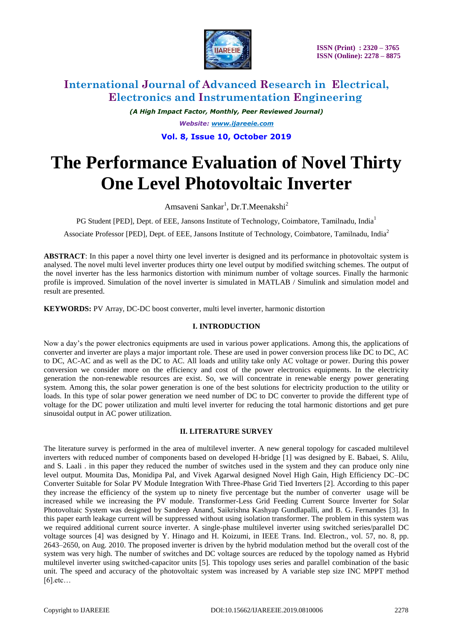

*(A High Impact Factor, Monthly, Peer Reviewed Journal) Website: [www.ijareeie.com](http://www.ijareeie.com/)* **Vol. 8, Issue 10, October 2019**

# **The Performance Evaluation of Novel Thirty One Level Photovoltaic Inverter**

Amsaveni Sankar<sup>1</sup>, Dr.T.Meenakshi<sup>2</sup>

PG Student [PED], Dept. of EEE, Jansons Institute of Technology, Coimbatore, Tamilnadu, India<sup>1</sup>

Associate Professor [PED], Dept. of EEE, Jansons Institute of Technology, Coimbatore, Tamilnadu, India<sup>2</sup>

**ABSTRACT**: In this paper a novel thirty one level inverter is designed and its performance in photovoltaic system is analysed. The novel multi level inverter produces thirty one level output by modified switching schemes. The output of the novel inverter has the less harmonics distortion with minimum number of voltage sources. Finally the harmonic profile is improved. Simulation of the novel inverter is simulated in MATLAB / Simulink and simulation model and result are presented.

**KEYWORDS:** PV Array, DC-DC boost converter, multi level inverter, harmonic distortion

### **I. INTRODUCTION**

Now a day's the power electronics equipments are used in various power applications. Among this, the applications of converter and inverter are plays a major important role. These are used in power conversion process like DC to DC, AC to DC, AC-AC and as well as the DC to AC. All loads and utility take only AC voltage or power. During this power conversion we consider more on the efficiency and cost of the power electronics equipments. In the electricity generation the non-renewable resources are exist. So, we will concentrate in renewable energy power generating system. Among this, the solar power generation is one of the best solutions for electricity production to the utility or loads. In this type of solar power generation we need number of DC to DC converter to provide the different type of voltage for the DC power utilization and multi level inverter for reducing the total harmonic distortions and get pure sinusoidal output in AC power utilization.

### **II. LITERATURE SURVEY**

The literature survey is performed in the area of multilevel inverter. A new general topology for cascaded multilevel inverters with reduced number of components based on developed H-bridge [1] was designed by E. Babaei, S. Alilu, and S. Laali . in this paper they reduced the number of switches used in the system and they can produce only nine level output. Moumita Das, Monidipa Pal, and Vivek Agarwal designed Novel High Gain, High Efficiency DC–DC Converter Suitable for Solar PV Module Integration With Three-Phase Grid Tied Inverters [2]. According to this paper they increase the efficiency of the system up to ninety five percentage but the number of converter usage will be increased while we increasing the PV module. Transformer-Less Grid Feeding Current Source Inverter for Solar Photovoltaic System was designed by Sandeep Anand, Saikrishna Kashyap Gundlapalli, and B. G. Fernandes [3]. In this paper earth leakage current will be suppressed without using isolation transformer. The problem in this system was we required additional current source inverter. A single-phase multilevel inverter using switched series/parallel DC voltage sources [4] was designed by Y. Hinago and H. Koizumi, in IEEE Trans. Ind. Electron., vol. 57, no. 8, pp. 2643–2650, on Aug. 2010. The proposed inverter is driven by the hybrid modulation method but the overall cost of the system was very high. The number of switches and DC voltage sources are reduced by the topology named as Hybrid multilevel inverter using switched-capacitor units [5]. This topology uses series and parallel combination of the basic unit. The speed and accuracy of the photovoltaic system was increased by A variable step size INC MPPT method [6].etc…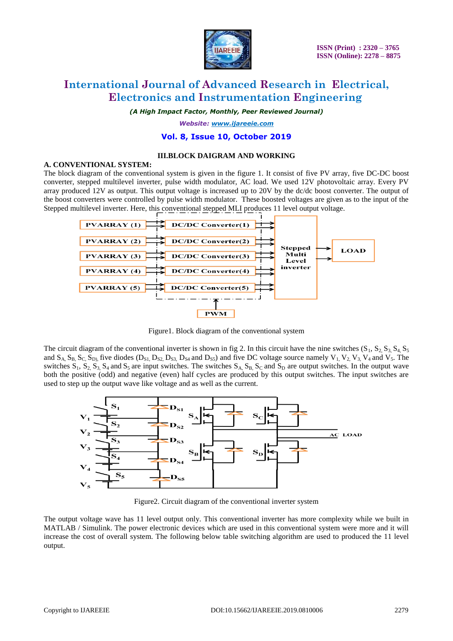

*(A High Impact Factor, Monthly, Peer Reviewed Journal)*

*Website: [www.ijareeie.com](http://www.ijareeie.com/)*

### **Vol. 8, Issue 10, October 2019**

### **III.BLOCK DAIGRAM AND WORKING**

### **A. CONVENTIONAL SYSTEM:**

The block diagram of the conventional system is given in the figure 1. It consist of five PV array, five DC-DC boost converter, stepped multilevel inverter, pulse width modulator, AC load. We used 12V photovoltaic array. Every PV array produced 12V as output. This output voltage is increased up to 20V by the dc/dc boost converter. The output of the boost converters were controlled by pulse width modulator. These boosted voltages are given as to the input of the Stepped multilevel inverter. Here, this conventional stepped MLI produces 11 level output voltage.



Figure1. Block diagram of the conventional system

The circuit diagram of the conventional inverter is shown in fig 2. In this circuit have the nine switches  $(S_1, S_2, S_3, S_4, S_5)$ and  $S_A$ ,  $S_B$ ,  $S_C$ ,  $S_D$ , five diodes  $(D_{S1}$ ,  $D_{S2}$ ,  $D_{S3}$ ,  $D_{S4}$  and  $D_{S5}$ ) and five DC voltage source namely  $V_1$ ,  $V_2$ ,  $V_3$ ,  $V_4$  and  $V_5$ . The switches  $S_1$ ,  $S_2$ ,  $S_3$ ,  $S_4$  and  $S_5$  are input switches. The switches  $S_A$ ,  $S_B$ ,  $S_C$  and  $S_D$  are output switches. In the output wave both the positive (odd) and negative (even) half cycles are produced by this output switches. The input switches are used to step up the output wave like voltage and as well as the current.



Figure2. Circuit diagram of the conventional inverter system

The output voltage wave has 11 level output only. This conventional inverter has more complexity while we built in MATLAB / Simulink. The power electronic devices which are used in this conventional system were more and it will increase the cost of overall system. The following below table switching algorithm are used to produced the 11 level output.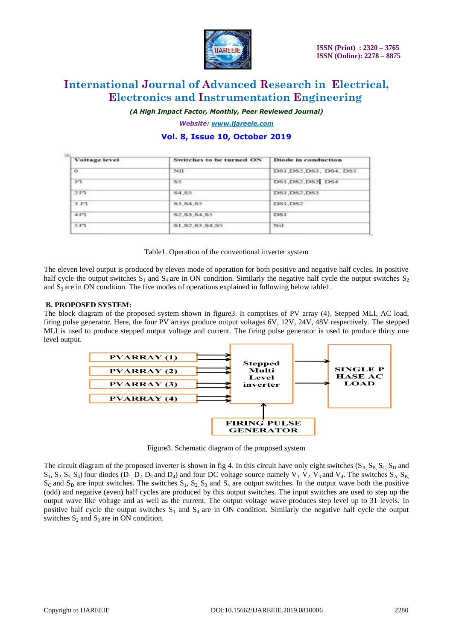

*(A High Impact Factor, Monthly, Peer Reviewed Journal)*

*Website: [www.ijareeie.com](http://www.ijareeie.com/)* **Vol. 8, Issue 10, October 2019**

| Switches to be turned ON | <b>Diode in conduction</b><br>DS1, DS2, DS3, DS4, DS5 |  |
|--------------------------|-------------------------------------------------------|--|
| Nil.                     |                                                       |  |
| S5                       | DS1, DS2, DS3 DS4                                     |  |
| S4.S5                    | DS1.DS2.DS3                                           |  |
| \$3,84,85                | DS1.DS2                                               |  |
| \$2, \$3, \$4, \$5       | DS1                                                   |  |
| S1.S2.S3.S4.S5           | Nil                                                   |  |
|                          |                                                       |  |

Table1. Operation of the conventional inverter system

The eleven level output is produced by eleven mode of operation for both positive and negative half cycles. In positive half cycle the output switches  $S_1$  and  $S_4$  are in ON condition. Similarly the negative half cycle the output switches  $S_2$ and  $S_3$  are in ON condition. The five modes of operations explained in following below table1.

### **B. PROPOSED SYSTEM:**

The block diagram of the proposed system shown in figure3. It comprises of PV array (4), Stepped MLI, AC load, firing pulse generator. Here, the four PV arrays produce output voltages 6V, 12V, 24V, 48V respectively. The stepped MLI is used to produce stepped output voltage and current. The firing pulse generator is used to produce thirty one level output.



Figure3. Schematic diagram of the proposed system

The circuit diagram of the proposed inverter is shown in fig 4. In this circuit have only eight switches ( $S_A$ ,  $S_B$ ,  $S_C$ ,  $S_D$ ) and  $S_1$ ,  $S_2$ ,  $S_3$ ,  $S_4$ ) four diodes ( $D_1$ ,  $D_2$ ,  $D_3$  and  $D_4$ ) and four DC voltage source namely  $V_1$ ,  $V_2$ ,  $V_3$  and  $V_4$ . The switches  $S_A$ ,  $S_B$ ,  $S_C$  and  $S_D$  are input switches. The switches  $S_1$ ,  $S_2$ ,  $S_3$  and  $S_4$  are output switches. In the output wave both the positive (odd) and negative (even) half cycles are produced by this output switches. The input switches are used to step up the output wave like voltage and as well as the current. The output voltage wave produces step level up to 31 levels. In positive half cycle the output switches  $S_1$  and  $S_4$  are in ON condition. Similarly the negative half cycle the output switches  $S_2$  and  $S_3$  are in ON condition.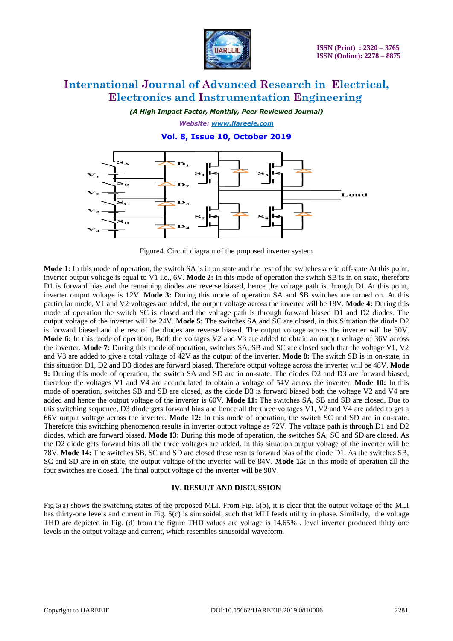

*(A High Impact Factor, Monthly, Peer Reviewed Journal)*

*Website: [www.ijareeie.com](http://www.ijareeie.com/)* **Vol. 8, Issue 10, October 2019**



Figure4. Circuit diagram of the proposed inverter system

**Mode 1:** In this mode of operation, the switch SA is in on state and the rest of the switches are in off-state At this point, inverter output voltage is equal to V1 i.e., 6V. **Mode 2:** In this mode of operation the switch SB is in on state, therefore D1 is forward bias and the remaining diodes are reverse biased, hence the voltage path is through D1 At this point, inverter output voltage is 12V. **Mode 3:** During this mode of operation SA and SB switches are turned on. At this particular mode, V1 and V2 voltages are added, the output voltage across the inverter will be 18V. **Mode 4:** During this mode of operation the switch SC is closed and the voltage path is through forward biased D1 and D2 diodes. The output voltage of the inverter will be 24V. **Mode 5:** The switches SA and SC are closed, in this Situation the diode D2 is forward biased and the rest of the diodes are reverse biased. The output voltage across the inverter will be 30V. **Mode 6:** In this mode of operation, Both the voltages V2 and V3 are added to obtain an output voltage of 36V across the inverter. **Mode 7:** During this mode of operation, switches SA, SB and SC are closed such that the voltage V1, V2 and V3 are added to give a total voltage of 42V as the output of the inverter. **Mode 8:** The switch SD is in on-state, in this situation D1, D2 and D3 diodes are forward biased. Therefore output voltage across the inverter will be 48V. **Mode 9:** During this mode of operation, the switch SA and SD are in on-state. The diodes D2 and D3 are forward biased, therefore the voltages V1 and V4 are accumulated to obtain a voltage of 54V across the inverter. **Mode 10:** In this mode of operation, switches SB and SD are closed, as the diode D3 is forward biased both the voltage V2 and V4 are added and hence the output voltage of the inverter is 60V. **Mode 11:** The switches SA, SB and SD are closed. Due to this switching sequence, D3 diode gets forward bias and hence all the three voltages V1, V2 and V4 are added to get a 66V output voltage across the inverter. **Mode 12:** In this mode of operation, the switch SC and SD are in on-state. Therefore this switching phenomenon results in inverter output voltage as 72V. The voltage path is through D1 and D2 diodes, which are forward biased. **Mode 13:** During this mode of operation, the switches SA, SC and SD are closed. As the D2 diode gets forward bias all the three voltages are added. In this situation output voltage of the inverter will be 78V. **Mode 14:** The switches SB, SC and SD are closed these results forward bias of the diode D1. As the switches SB, SC and SD are in on-state, the output voltage of the inverter will be 84V. **Mode 15:** In this mode of operation all the four switches are closed. The final output voltage of the inverter will be 90V.

### **IV. RESULT AND DISCUSSION**

Fig 5(a) shows the switching states of the proposed MLI. From Fig. 5(b), it is clear that the output voltage of the MLI has thirty-one levels and current in Fig. 5(c) is sinusoidal, such that MLI feeds utility in phase. Similarly, the voltage THD are depicted in Fig. (d) from the figure THD values are voltage is 14.65% . level inverter produced thirty one levels in the output voltage and current, which resembles sinusoidal waveform.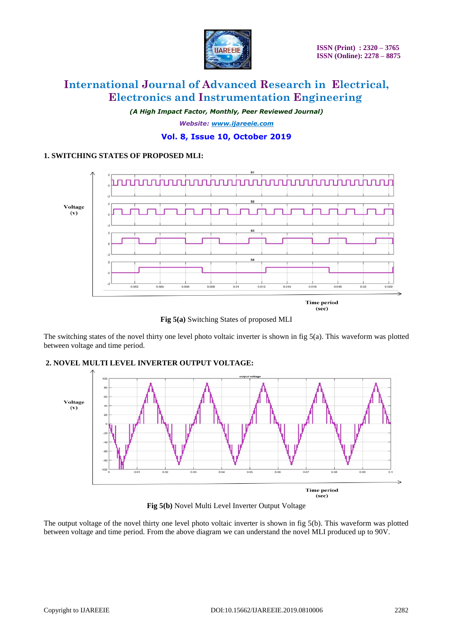

*(A High Impact Factor, Monthly, Peer Reviewed Journal) Website: [www.ijareeie.com](http://www.ijareeie.com/)*

# **Vol. 8, Issue 10, October 2019**

## **1. SWITCHING STATES OF PROPOSED MLI:**



**Fig 5(a)** Switching States of proposed MLI

The switching states of the novel thirty one level photo voltaic inverter is shown in fig 5(a). This waveform was plotted between voltage and time period.



# **2. NOVEL MULTI LEVEL INVERTER OUTPUT VOLTAGE:**

**Fig 5(b)** Novel Multi Level Inverter Output Voltage

The output voltage of the novel thirty one level photo voltaic inverter is shown in fig 5(b). This waveform was plotted between voltage and time period. From the above diagram we can understand the novel MLI produced up to 90V.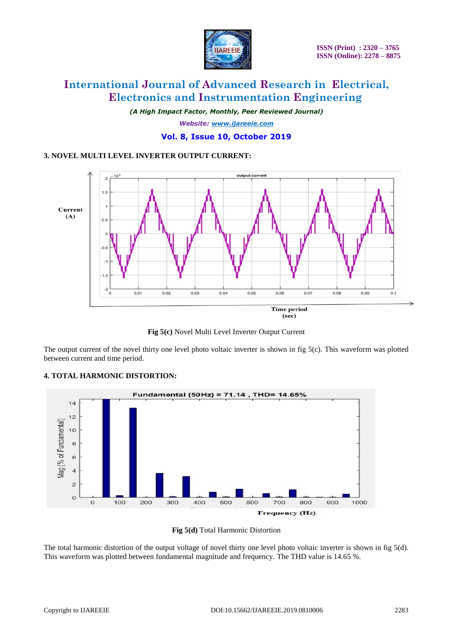

*(A High Impact Factor, Monthly, Peer Reviewed Journal) Website: [www.ijareeie.com](http://www.ijareeie.com/)* **Vol. 8, Issue 10, October 2019**

### **3. NOVEL MULTI LEVEL INVERTER OUTPUT CURRENT:**



**Fig 5(c)** Novel Multi Level Inverter Output Current

The output current of the novel thirty one level photo voltaic inverter is shown in fig  $5(c)$ . This waveform was plotted between current and time period.

# **4. TOTAL HARMONIC DISTORTION:**





The total harmonic distortion of the output voltage of novel thirty one level photo voltaic inverter is shown in fig 5(d). This waveform was plotted between fundamental magnitude and frequency. The THD value is 14.65 %.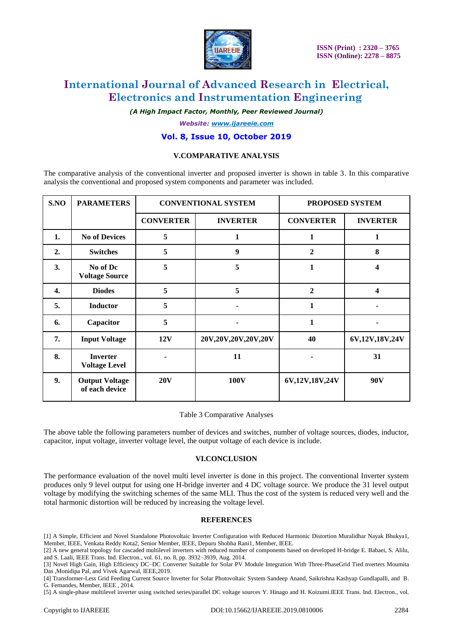

*(A High Impact Factor, Monthly, Peer Reviewed Journal)*

*Website: [www.ijareeie.com](http://www.ijareeie.com/)*

### **Vol. 8, Issue 10, October 2019**

### **V.COMPARATIVE ANALYSIS**

The comparative analysis of the conventional inverter and proposed inverter is shown in table 3. In this comparative analysis the conventional and proposed system components and parameter was included.

| S.NO             | <b>PARAMETERS</b>                       | <b>CONVENTIONAL SYSTEM</b> |                     | PROPOSED SYSTEM  |                 |
|------------------|-----------------------------------------|----------------------------|---------------------|------------------|-----------------|
|                  |                                         | <b>CONVERTER</b>           | <b>INVERTER</b>     | <b>CONVERTER</b> | <b>INVERTER</b> |
| 1.               | <b>No of Devices</b>                    | 5                          | 1                   | 1                |                 |
| $\overline{2}$ . | <b>Switches</b>                         | 5                          | 9                   | $\overline{2}$   | 8               |
| 3.               | No of Dc<br><b>Voltage Source</b>       | 5                          | 5                   | 1                | 4               |
| 4.               | <b>Diodes</b>                           | 5                          | 5                   | $\mathbf{2}$     | 4               |
| 5.               | <b>Inductor</b>                         | 5                          |                     | 1                |                 |
| 6.               | Capacitor                               | 5                          |                     | 1                |                 |
| 7.               | <b>Input Voltage</b>                    | <b>12V</b>                 | 20V,20V,20V,20V,20V | 40               | 6V,12V,18V,24V  |
| 8.               | <b>Inverter</b><br><b>Voltage Level</b> |                            | 11                  |                  | 31              |
| 9.               | <b>Output Voltage</b><br>of each device | 20V                        | 100V                | 6V,12V,18V,24V   | 90 <sub>V</sub> |

Table 3 Comparative Analyses

The above table the following parameters number of devices and switches, number of voltage sources, diodes, inductor, capacitor, input voltage, inverter voltage level, the output voltage of each device is include.

### **VI.CONCLUSION**

The performance evaluation of the novel multi level inverter is done in this project. The conventional Inverter system produces only 9 level output for using one H-bridge inverter and 4 DC voltage source. We produce the 31 level output voltage by modifying the switching schemes of the same MLI. Thus the cost of the system is reduced very well and the total harmonic distortion will be reduced by increasing the voltage level.

### **REFERENCES**

[1] A Simple, Efficient and Novel Standalone Photovoltaic Inverter Configuration with Reduced Harmonic Distortion Muralidhar Nayak Bhukya1, Member, IEEE, Venkata Reddy Kota2, Senior Member, IEEE, Depuru Shobha Rani1, Member, IEEE.

[2] A new general topology for cascaded multilevel inverters with reduced number of components based on developed H-bridge E. Babaei, S. Alilu, and S. Laali, IEEE Trans. Ind. Electron., vol. 61, no. 8, pp. 3932–3939, Aug. 2014.

[3] Novel High Gain, High Efficiency DC–DC Converter Suitable for Solar PV Module Integration With Three-PhaseGrid Tied nverters Moumita Das ,Monidipa Pal, and Vivek Agarwal, IEEE,2019.

[4] Transformer-Less Grid Feeding Current Source Inverter for Solar Photovoltaic System Sandeep Anand, Saikrishna Kashyap Gundlapalli, and B. G. Fernandes, Member, IEEE , 2014.

[5] A single-phase multilevel inverter using switched series/parallel DC voltage sources Y. Hinago and H. Koizumi.IEEE Trans. Ind. Electron., vol.